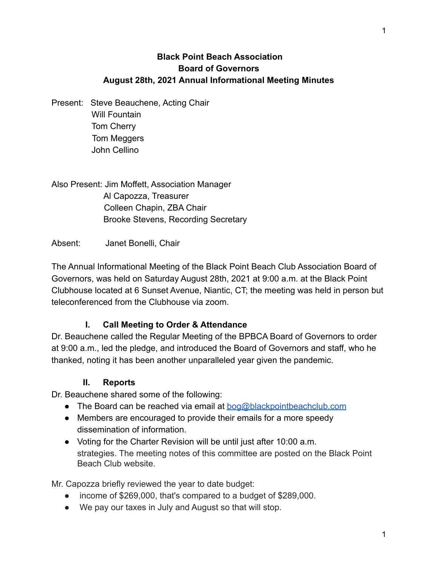### **Black Point Beach Association Board of Governors August 28th, 2021 Annual Informational Meeting Minutes**

Present: Steve Beauchene, Acting Chair Will Fountain Tom Cherry Tom Meggers John Cellino

Also Present: Jim Moffett, Association Manager Al Capozza, Treasurer Colleen Chapin, ZBA Chair Brooke Stevens, Recording Secretary

Absent: Janet Bonelli, Chair

The Annual Informational Meeting of the Black Point Beach Club Association Board of Governors, was held on Saturday August 28th, 2021 at 9:00 a.m. at the Black Point Clubhouse located at 6 Sunset Avenue, Niantic, CT; the meeting was held in person but teleconferenced from the Clubhouse via zoom.

### **I. Call Meeting to Order & Attendance**

Dr. Beauchene called the Regular Meeting of the BPBCA Board of Governors to order at 9:00 a.m., led the pledge, and introduced the Board of Governors and staff, who he thanked, noting it has been another unparalleled year given the pandemic.

### **II. Reports**

Dr. Beauchene shared some of the following:

- The Board can be reached via email at  $bog@blackpointbeachclub.com$
- Members are encouraged to provide their emails for a more speedy dissemination of information.
- Voting for the Charter Revision will be until just after 10:00 a.m. strategies. The meeting notes of this committee are posted on the Black Point Beach Club website.

Mr. Capozza briefly reviewed the year to date budget:

- income of \$269,000, that's compared to a budget of \$289,000.
- We pay our taxes in July and August so that will stop.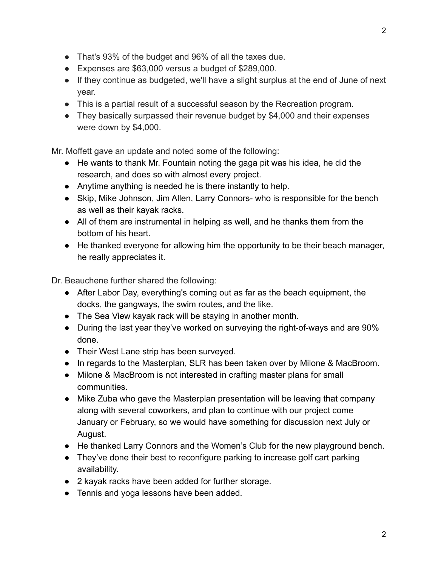- That's 93% of the budget and 96% of all the taxes due.
- Expenses are \$63,000 versus a budget of \$289,000.
- If they continue as budgeted, we'll have a slight surplus at the end of June of next year.
- This is a partial result of a successful season by the Recreation program.
- They basically surpassed their revenue budget by \$4,000 and their expenses were down by \$4,000.

Mr. Moffett gave an update and noted some of the following:

- He wants to thank Mr. Fountain noting the gaga pit was his idea, he did the research, and does so with almost every project.
- Anytime anything is needed he is there instantly to help.
- Skip, Mike Johnson, Jim Allen, Larry Connors- who is responsible for the bench as well as their kayak racks.
- All of them are instrumental in helping as well, and he thanks them from the bottom of his heart.
- He thanked everyone for allowing him the opportunity to be their beach manager, he really appreciates it.

Dr. Beauchene further shared the following:

- After Labor Day, everything's coming out as far as the beach equipment, the docks, the gangways, the swim routes, and the like.
- The Sea View kayak rack will be staying in another month.
- During the last year they've worked on surveying the right-of-ways and are 90% done.
- Their West Lane strip has been surveyed.
- In regards to the Masterplan, SLR has been taken over by Milone & MacBroom.
- Milone & MacBroom is not interested in crafting master plans for small communities.
- Mike Zuba who gave the Masterplan presentation will be leaving that company along with several coworkers, and plan to continue with our project come January or February, so we would have something for discussion next July or August.
- He thanked Larry Connors and the Women's Club for the new playground bench.
- They've done their best to reconfigure parking to increase golf cart parking availability.
- 2 kayak racks have been added for further storage.
- Tennis and yoga lessons have been added.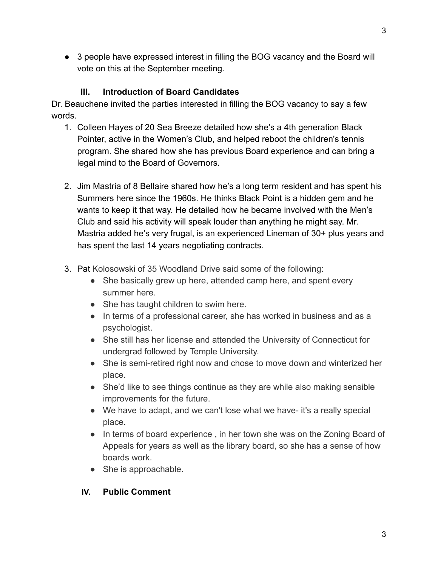● 3 people have expressed interest in filling the BOG vacancy and the Board will vote on this at the September meeting.

# **III. Introduction of Board Candidates**

Dr. Beauchene invited the parties interested in filling the BOG vacancy to say a few words.

- 1. Colleen Hayes of 20 Sea Breeze detailed how she's a 4th generation Black Pointer, active in the Women's Club, and helped reboot the children's tennis program. She shared how she has previous Board experience and can bring a legal mind to the Board of Governors.
- 2. Jim Mastria of 8 Bellaire shared how he's a long term resident and has spent his Summers here since the 1960s. He thinks Black Point is a hidden gem and he wants to keep it that way. He detailed how he became involved with the Men's Club and said his activity will speak louder than anything he might say. Mr. Mastria added he's very frugal, is an experienced Lineman of 30+ plus years and has spent the last 14 years negotiating contracts.
- 3. Pat Kolosowski of 35 Woodland Drive said some of the following:
	- She basically grew up here, attended camp here, and spent every summer here.
	- She has taught children to swim here.
	- In terms of a professional career, she has worked in business and as a psychologist.
	- She still has her license and attended the University of Connecticut for undergrad followed by Temple University.
	- She is semi-retired right now and chose to move down and winterized her place.
	- She'd like to see things continue as they are while also making sensible improvements for the future.
	- We have to adapt, and we can't lose what we have- it's a really special place.
	- In terms of board experience, in her town she was on the Zoning Board of Appeals for years as well as the library board, so she has a sense of how boards work.
	- She is approachable.

## **IV. Public Comment**